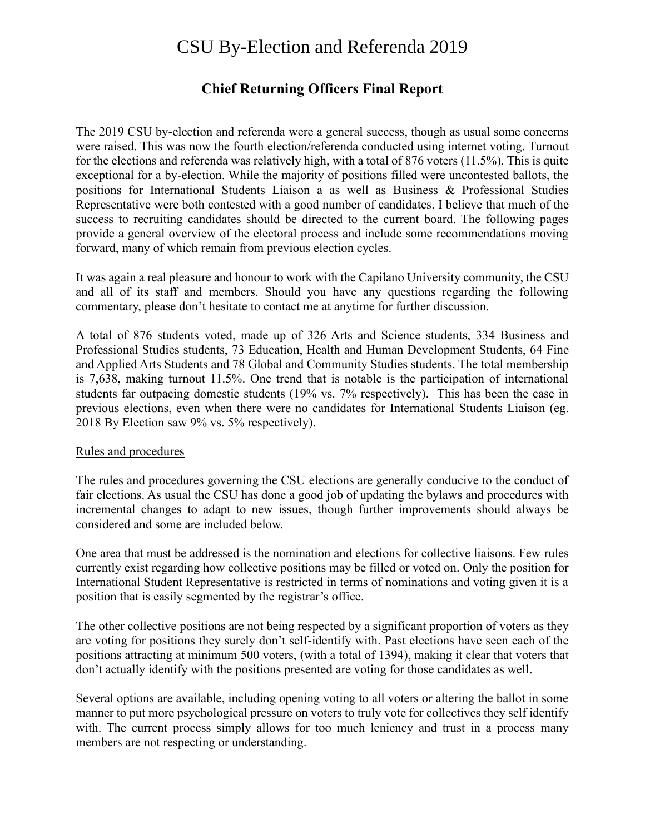# CSU By-Election and Referenda 2019

# **Chief Returning Officers Final Report**

The 2019 CSU by-election and referenda were a general success, though as usual some concerns were raised. This was now the fourth election/referenda conducted using internet voting. Turnout for the elections and referenda was relatively high, with a total of 876 voters (11.5%). This is quite exceptional for a by-election. While the majority of positions filled were uncontested ballots, the positions for International Students Liaison a as well as Business & Professional Studies Representative were both contested with a good number of candidates. I believe that much of the success to recruiting candidates should be directed to the current board. The following pages provide a general overview of the electoral process and include some recommendations moving forward, many of which remain from previous election cycles.

It was again a real pleasure and honour to work with the Capilano University community, the CSU and all of its staff and members. Should you have any questions regarding the following commentary, please don't hesitate to contact me at anytime for further discussion.

A total of 876 students voted, made up of 326 Arts and Science students, 334 Business and Professional Studies students, 73 Education, Health and Human Development Students, 64 Fine and Applied Arts Students and 78 Global and Community Studies students. The total membership is 7,638, making turnout 11.5%. One trend that is notable is the participation of international students far outpacing domestic students (19% vs. 7% respectively). This has been the case in previous elections, even when there were no candidates for International Students Liaison (eg. 2018 By Election saw 9% vs. 5% respectively).

#### Rules and procedures

The rules and procedures governing the CSU elections are generally conducive to the conduct of fair elections. As usual the CSU has done a good job of updating the bylaws and procedures with incremental changes to adapt to new issues, though further improvements should always be considered and some are included below.

One area that must be addressed is the nomination and elections for collective liaisons. Few rules currently exist regarding how collective positions may be filled or voted on. Only the position for International Student Representative is restricted in terms of nominations and voting given it is a position that is easily segmented by the registrar's office.

The other collective positions are not being respected by a significant proportion of voters as they are voting for positions they surely don't self-identify with. Past elections have seen each of the positions attracting at minimum 500 voters, (with a total of 1394), making it clear that voters that don't actually identify with the positions presented are voting for those candidates as well.

Several options are available, including opening voting to all voters or altering the ballot in some manner to put more psychological pressure on voters to truly vote for collectives they self identify with. The current process simply allows for too much leniency and trust in a process many members are not respecting or understanding.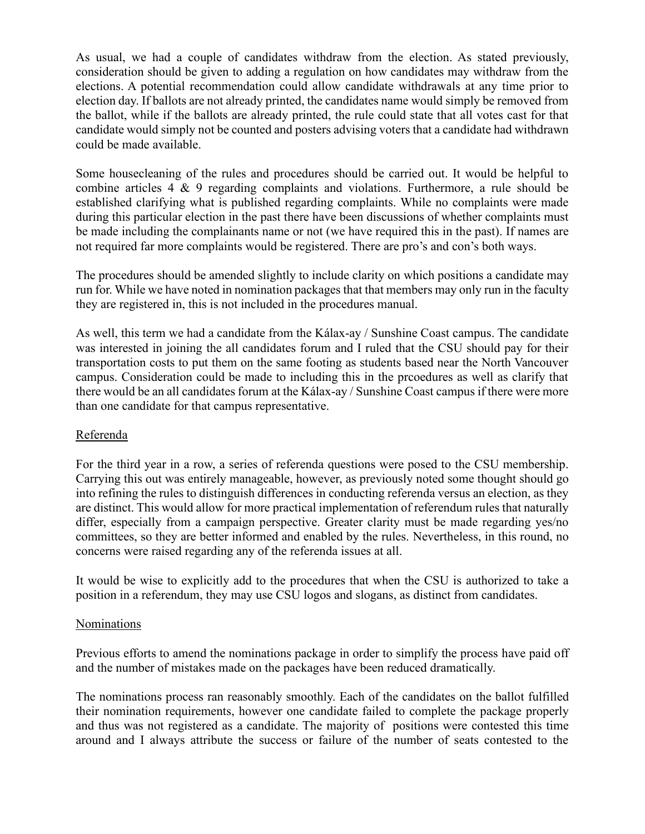As usual, we had a couple of candidates withdraw from the election. As stated previously, consideration should be given to adding a regulation on how candidates may withdraw from the elections. A potential recommendation could allow candidate withdrawals at any time prior to election day. If ballots are not already printed, the candidates name would simply be removed from the ballot, while if the ballots are already printed, the rule could state that all votes cast for that candidate would simply not be counted and posters advising voters that a candidate had withdrawn could be made available.

Some housecleaning of the rules and procedures should be carried out. It would be helpful to combine articles 4 & 9 regarding complaints and violations. Furthermore, a rule should be established clarifying what is published regarding complaints. While no complaints were made during this particular election in the past there have been discussions of whether complaints must be made including the complainants name or not (we have required this in the past). If names are not required far more complaints would be registered. There are pro's and con's both ways.

The procedures should be amended slightly to include clarity on which positions a candidate may run for. While we have noted in nomination packages that that members may only run in the faculty they are registered in, this is not included in the procedures manual.

As well, this term we had a candidate from the Kálax-ay / Sunshine Coast campus. The candidate was interested in joining the all candidates forum and I ruled that the CSU should pay for their transportation costs to put them on the same footing as students based near the North Vancouver campus. Consideration could be made to including this in the prcoedures as well as clarify that there would be an all candidates forum at the Kálax-ay / Sunshine Coast campus if there were more than one candidate for that campus representative.

#### Referenda

For the third year in a row, a series of referenda questions were posed to the CSU membership. Carrying this out was entirely manageable, however, as previously noted some thought should go into refining the rules to distinguish differences in conducting referenda versus an election, as they are distinct. This would allow for more practical implementation of referendum rules that naturally differ, especially from a campaign perspective. Greater clarity must be made regarding yes/no committees, so they are better informed and enabled by the rules. Nevertheless, in this round, no concerns were raised regarding any of the referenda issues at all.

It would be wise to explicitly add to the procedures that when the CSU is authorized to take a position in a referendum, they may use CSU logos and slogans, as distinct from candidates.

#### Nominations

Previous efforts to amend the nominations package in order to simplify the process have paid off and the number of mistakes made on the packages have been reduced dramatically.

The nominations process ran reasonably smoothly. Each of the candidates on the ballot fulfilled their nomination requirements, however one candidate failed to complete the package properly and thus was not registered as a candidate. The majority of positions were contested this time around and I always attribute the success or failure of the number of seats contested to the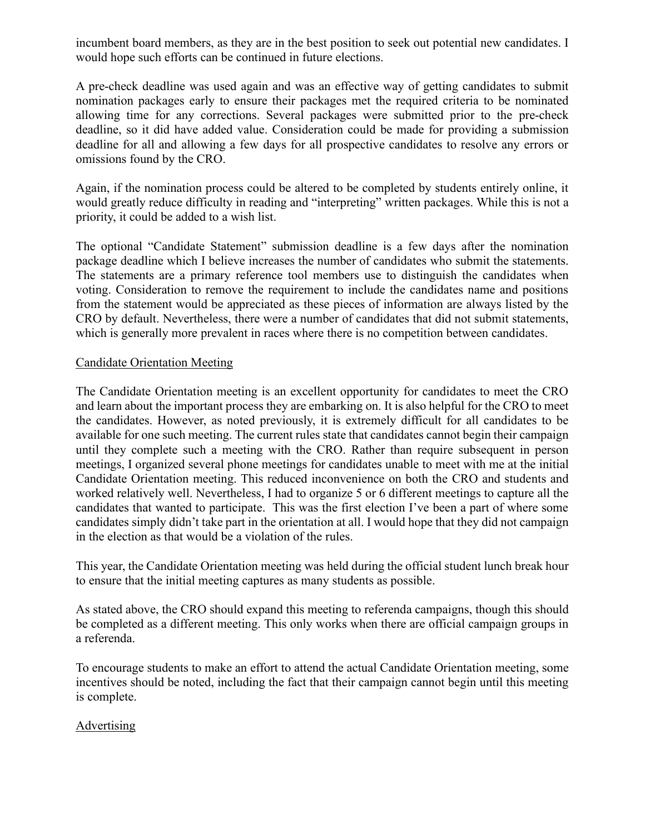incumbent board members, as they are in the best position to seek out potential new candidates. I would hope such efforts can be continued in future elections.

A pre-check deadline was used again and was an effective way of getting candidates to submit nomination packages early to ensure their packages met the required criteria to be nominated allowing time for any corrections. Several packages were submitted prior to the pre-check deadline, so it did have added value. Consideration could be made for providing a submission deadline for all and allowing a few days for all prospective candidates to resolve any errors or omissions found by the CRO.

Again, if the nomination process could be altered to be completed by students entirely online, it would greatly reduce difficulty in reading and "interpreting" written packages. While this is not a priority, it could be added to a wish list.

The optional "Candidate Statement" submission deadline is a few days after the nomination package deadline which I believe increases the number of candidates who submit the statements. The statements are a primary reference tool members use to distinguish the candidates when voting. Consideration to remove the requirement to include the candidates name and positions from the statement would be appreciated as these pieces of information are always listed by the CRO by default. Nevertheless, there were a number of candidates that did not submit statements, which is generally more prevalent in races where there is no competition between candidates.

# Candidate Orientation Meeting

The Candidate Orientation meeting is an excellent opportunity for candidates to meet the CRO and learn about the important process they are embarking on. It is also helpful for the CRO to meet the candidates. However, as noted previously, it is extremely difficult for all candidates to be available for one such meeting. The current rules state that candidates cannot begin their campaign until they complete such a meeting with the CRO. Rather than require subsequent in person meetings, I organized several phone meetings for candidates unable to meet with me at the initial Candidate Orientation meeting. This reduced inconvenience on both the CRO and students and worked relatively well. Nevertheless, I had to organize 5 or 6 different meetings to capture all the candidates that wanted to participate. This was the first election I've been a part of where some candidates simply didn't take part in the orientation at all. I would hope that they did not campaign in the election as that would be a violation of the rules.

This year, the Candidate Orientation meeting was held during the official student lunch break hour to ensure that the initial meeting captures as many students as possible.

As stated above, the CRO should expand this meeting to referenda campaigns, though this should be completed as a different meeting. This only works when there are official campaign groups in a referenda.

To encourage students to make an effort to attend the actual Candidate Orientation meeting, some incentives should be noted, including the fact that their campaign cannot begin until this meeting is complete.

#### Advertising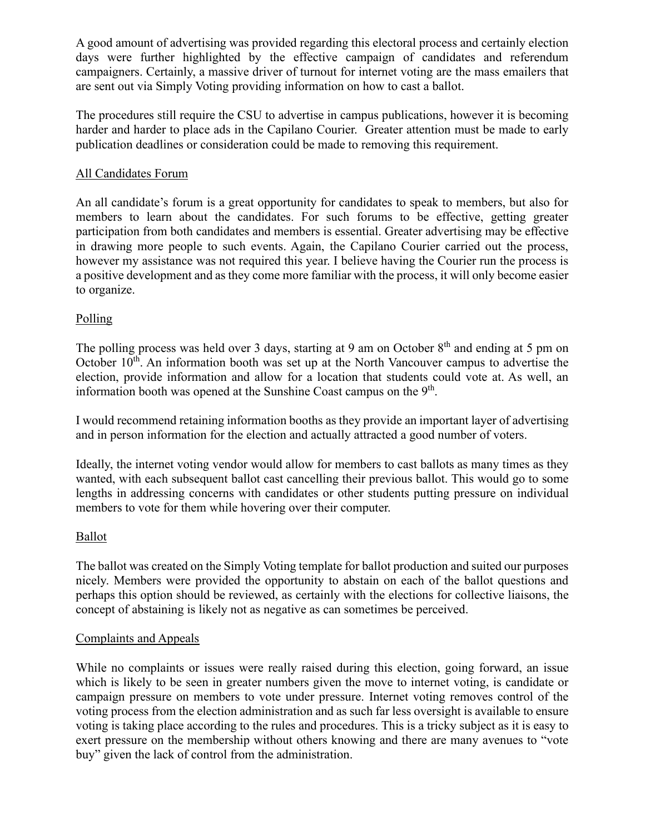A good amount of advertising was provided regarding this electoral process and certainly election days were further highlighted by the effective campaign of candidates and referendum campaigners. Certainly, a massive driver of turnout for internet voting are the mass emailers that are sent out via Simply Voting providing information on how to cast a ballot.

The procedures still require the CSU to advertise in campus publications, however it is becoming harder and harder to place ads in the Capilano Courier. Greater attention must be made to early publication deadlines or consideration could be made to removing this requirement.

# All Candidates Forum

An all candidate's forum is a great opportunity for candidates to speak to members, but also for members to learn about the candidates. For such forums to be effective, getting greater participation from both candidates and members is essential. Greater advertising may be effective in drawing more people to such events. Again, the Capilano Courier carried out the process, however my assistance was not required this year. I believe having the Courier run the process is a positive development and as they come more familiar with the process, it will only become easier to organize.

# Polling

The polling process was held over 3 days, starting at 9 am on October  $8<sup>th</sup>$  and ending at 5 pm on October  $10<sup>th</sup>$ . An information booth was set up at the North Vancouver campus to advertise the election, provide information and allow for a location that students could vote at. As well, an information booth was opened at the Sunshine Coast campus on the  $9<sup>th</sup>$ .

I would recommend retaining information booths as they provide an important layer of advertising and in person information for the election and actually attracted a good number of voters.

Ideally, the internet voting vendor would allow for members to cast ballots as many times as they wanted, with each subsequent ballot cast cancelling their previous ballot. This would go to some lengths in addressing concerns with candidates or other students putting pressure on individual members to vote for them while hovering over their computer.

#### Ballot

The ballot was created on the Simply Voting template for ballot production and suited our purposes nicely. Members were provided the opportunity to abstain on each of the ballot questions and perhaps this option should be reviewed, as certainly with the elections for collective liaisons, the concept of abstaining is likely not as negative as can sometimes be perceived.

#### Complaints and Appeals

While no complaints or issues were really raised during this election, going forward, an issue which is likely to be seen in greater numbers given the move to internet voting, is candidate or campaign pressure on members to vote under pressure. Internet voting removes control of the voting process from the election administration and as such far less oversight is available to ensure voting is taking place according to the rules and procedures. This is a tricky subject as it is easy to exert pressure on the membership without others knowing and there are many avenues to "vote buy" given the lack of control from the administration.